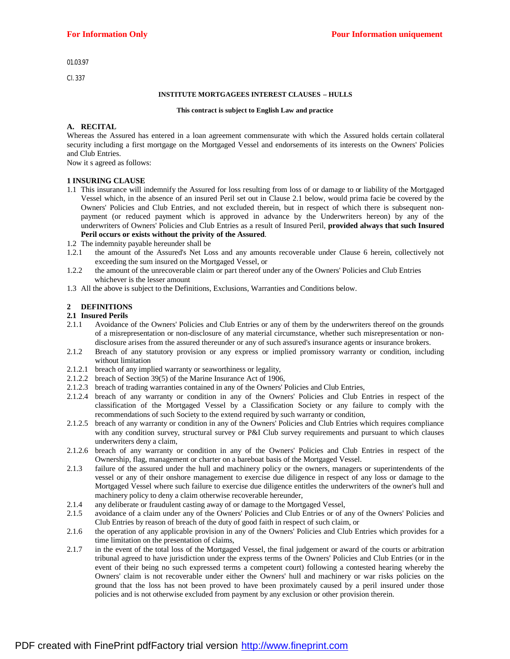01.03.97

Cl. 337

#### **INSTITUTE MORTGAGEES INTEREST CLAUSES – HULLS**

#### **This contract is subject to English Law and practice**

#### **A. RECITAL**

Whereas the Assured has entered in a loan agreement commensurate with which the Assured holds certain collateral security including a first mortgage on the Mortgaged Vessel and endorsements of its interests on the Owners' Policies and Club Entries.

Now it s agreed as follows:

#### **1 INSURING CLAUSE**

- 1.1 This insurance will indemnify the Assured for loss resulting from loss of or damage to or liability of the Mortgaged Vessel which, in the absence of an insured Peril set out in Clause 2.1 below, would prima facie be covered by the Owners' Policies and Club Entries, and not excluded therein, but in respect of which there is subsequent nonpayment (or reduced payment which is approved in advance by the Underwriters hereon) by any of the underwriters of Owners' Policies and Club Entries as a result of Insured Peril, **provided always that such Insured Peril occurs or exists without the privity of the Assured**.
- 1.2 The indemnity payable hereunder shall be
- 1.2.1 the amount of the Assured's Net Loss and any amounts recoverable under Clause 6 herein, collectively not exceeding the sum insured on the Mortgaged Vessel, or
- 1.2.2 the amount of the unrecoverable claim or part thereof under any of the Owners' Policies and Club Entries whichever is the lesser amount
- 1.3 All the above is subject to the Definitions, Exclusions, Warranties and Conditions below.

### **2 DEFINITIONS**

#### **2.1 Insured Perils**

- 2.1.1 Avoidance of the Owners' Policies and Club Entries or any of them by the underwriters thereof on the grounds of a misrepresentation or non-disclosure of any material circumstance, whether such misrepresentation or nondisclosure arises from the assured thereunder or any of such assured's insurance agents or insurance brokers.
- 2.1.2 Breach of any statutory provision or any express or implied promissory warranty or condition, including without limitation
- 2.1.2.1 breach of any implied warranty or seaworthiness or legality,
- 2.1.2.2 breach of Section 39(5) of the Marine Insurance Act of 1906,
- 2.1.2.3 breach of trading warranties contained in any of the Owners' Policies and Club Entries,
- 2.1.2.4 breach of any warranty or condition in any of the Owners' Policies and Club Entries in respect of the classification of the Mortgaged Vessel by a Classification Society or any failure to comply with the recommendations of such Society to the extend required by such warranty or condition,
- 2.1.2.5 breach of any warranty or condition in any of the Owners' Policies and Club Entries which requires compliance with any condition survey, structural survey or P&I Club survey requirements and pursuant to which clauses underwriters deny a claim,
- 2.1.2.6 breach of any warranty or condition in any of the Owners' Policies and Club Entries in respect of the Ownership, flag, management or charter on a bareboat basis of the Mortgaged Vessel.
- 2.1.3 failure of the assured under the hull and machinery policy or the owners, managers or superintendents of the vessel or any of their onshore management to exercise due diligence in respect of any loss or damage to the Mortgaged Vessel where such failure to exercise due diligence entitles the underwriters of the owner's hull and machinery policy to deny a claim otherwise recoverable hereunder,
- 2.1.4 any deliberate or fraudulent casting away of or damage to the Mortgaged Vessel,
- 2.1.5 avoidance of a claim under any of the Owners' Policies and Club Entries or of any of the Owners' Policies and Club Entries by reason of breach of the duty of good faith in respect of such claim, or
- 2.1.6 the operation of any applicable provision in any of the Owners' Policies and Club Entries which provides for a time limitation on the presentation of claims,
- 2.1.7 in the event of the total loss of the Mortgaged Vessel, the final judgement or award of the courts or arbitration tribunal agreed to have jurisdiction under the express terms of the Owners' Policies and Club Entries (or in the event of their being no such expressed terms a competent court) following a contested hearing whereby the Owners' claim is not recoverable under either the Owners' hull and machinery or war risks policies on the ground that the loss has not been proved to have been proximately caused by a peril insured under those policies and is not otherwise excluded from payment by any exclusion or other provision therein.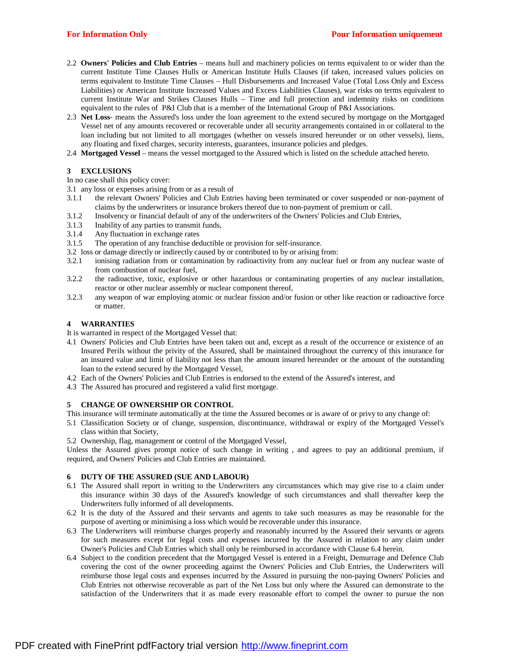- 2.2 **Owners' Policies and Club Entries** means hull and machinery policies on terms equivalent to or wider than the current Institute Time Clauses Hulls or American Institute Hulls Clauses (if taken, increased values policies on terms equivalent to Institute Time Clauses – Hull Disbursements and Increased Value (Total Loss Only and Excess Liabilities) or American Institute Increased Values and Excess Liabilities Clauses), war risks on terms equivalent to current Institute War and Strikes Clauses Hulls – Time and full protection and indemnity risks on conditions equivalent to the rules of P&I Club that is a member of the International Group of P&I Associations.
- 2.3 **Net Loss** means the Assured's loss under the loan agreement to the extend secured by mortgage on the Mortgaged Vessel net of any amounts recovered or recoverable under all security arrangements contained in or collateral to the loan including but not limited to all mortgages (whether on vessels insured hereunder or on other vessels), liens, any floating and fixed charges, security interests, guarantees, insurance policies and pledges.
- 2.4 **Mortgaged Vessel** means the vessel mortgaged to the Assured which is listed on the schedule attached hereto.

# **3 EXCLUSIONS**

In no case shall this policy cover:

- 3.1 any loss or expenses arising from or as a result of
- 3.1.1 the relevant Owners' Policies and Club Entries having been terminated or cover suspended or non-payment of claims by the underwriters or insurance brokers thereof due to non-payment of premium or call.
- 3.1.2 Insolvency or financial default of any of the underwriters of the Owners' Policies and Club Entries,
- 3.1.3 Inability of any parties to transmit funds,
- 3.1.4 Any fluctuation in exchange rates
- 3.1.5 The operation of any franchise deductible or provision for self-insurance.
- 3.2 loss or damage directly or indirectly caused by or contributed to by or arising from:
- 3.2.1 ionising radiation from or contamination by radioactivity from any nuclear fuel or from any nuclear waste of from combustion of nuclear fuel,
- 3.2.2 the radioactive, toxic, explosive or other hazardous or contaminating properties of any nuclear installation, reactor or other nuclear assembly or nuclear component thereof,
- 3.2.3 any weapon of war employing atomic or nuclear fission and/or fusion or other like reaction or radioactive force or matter.

## **4 WARRANTIES**

It is warranted in respect of the Mortgaged Vessel that:

- 4.1 Owners' Policies and Club Entries have been taken out and, except as a result of the occurrence or existence of an Insured Perils without the privity of the Assured, shall be maintained throughout the currency of this insurance for an insured value and limit of liability not less than the amount insured hereunder or the amount of the outstanding loan to the extend secured by the Mortgaged Vessel,
- 4.2 Each of the Owners' Policies and Club Entries is endorsed to the extend of the Assured's interest, and
- 4.3 The Assured has procured and registered a valid first mortgage.

## **5 CHANGE OF OWNERSHIP OR CONTROL**

This insurance will terminate automatically at the time the Assured becomes or is aware of or privy to any change of:

- 5.1 Classification Society or of change, suspension, discontinuance, withdrawal or expiry of the Mortgaged Vessel's class within that Society,
- 5.2 Ownership, flag, management or control of the Mortgaged Vessel,

Unless the Assured gives prompt notice of such change in writing , and agrees to pay an additional premium, if required, and Owners' Policies and Club Entries are maintained.

## **6 DUTY OF THE ASSURED (SUE AND LABOUR)**

- 6.1 The Assured shall report in writing to the Underwriters any circumstances which may give rise to a claim under this insurance within 30 days of the Assured's knowledge of such circumstances and shall thereafter keep the Underwriters fully informed of all developments.
- 6.2 It is the duty of the Assured and their servants and agents to take such measures as may be reasonable for the purpose of averting or minimising a loss which would be recoverable under this insurance.
- 6.3 The Underwriters will reimburse charges properly and reasonably incurred by the Assured their servants or agents for such measures except for legal costs and expenses incurred by the Assured in relation to any claim under Owner's Policies and Club Entries which shall only be reimbursed in accordance with Clause 6.4 herein.
- 6.4 Subject to the condition precedent that the Mortgaged Vessel is entered in a Freight, Demurrage and Defence Club covering the cost of the owner proceeding against the Owners' Policies and Club Entries, the Underwriters will reimburse those legal costs and expenses incurred by the Assured in pursuing the non-paying Owners' Policies and Club Entries not otherwise recoverable as part of the Net Loss but only where the Assured can demonstrate to the satisfaction of the Underwriters that it as made every reasonable effort to compel the owner to pursue the non